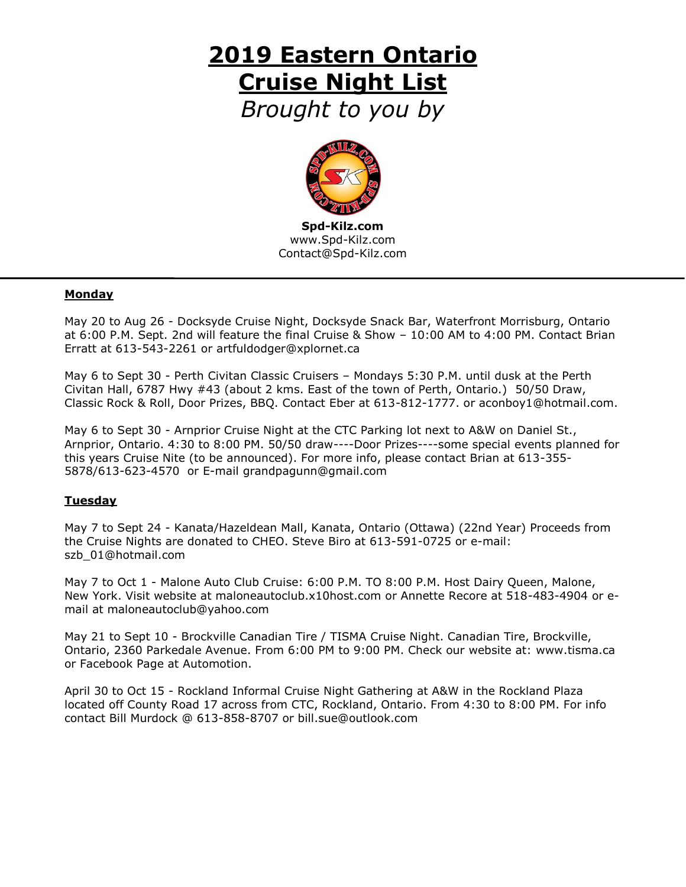# **2019 Eastern Ontario Cruise Night List**

*Brought to you by*



**Spd-Kilz.com** www.Spd-Kilz.com [Contact@Spd-Kilz.com](mailto:Contact@Spd-Kilz.com)

#### **Monday**

May 20 to Aug 26 - Docksyde Cruise Night, Docksyde Snack Bar, Waterfront Morrisburg, Ontario at 6:00 P.M. Sept. 2nd will feature the final Cruise & Show – 10:00 AM to 4:00 PM. Contact Brian Erratt at 613-543-2261 or [artfuldodger@xplornet.ca](mailto:artfuldodger@xplornet.ca)

May 6 to Sept 30 - Perth Civitan Classic Cruisers – Mondays 5:30 P.M. until dusk at the Perth Civitan Hall, 6787 Hwy #43 (about 2 kms. East of the town of Perth, Ontario.) 50/50 Draw, Classic Rock & Roll, Door Prizes, BBQ. Contact Eber at 613-812-1777. or [aconboy1@hotmail.com.](mailto:aconboy1@hotmail.com)

May 6 to Sept 30 - Arnprior Cruise Night at the CTC Parking lot next to A&W on Daniel St., Arnprior, Ontario. 4:30 to 8:00 PM. 50/50 draw----Door Prizes----some special events planned for this years Cruise Nite (to be announced). For more info, please contact Brian at 613-355- 5878/613-623-4570 or E-mail [grandpagunn@gmail.com](mailto:grandpagunn@gmail.com)

## **Tuesday**

May 7 to Sept 24 - Kanata/Hazeldean Mall, Kanata, Ontario (Ottawa) (22nd Year) Proceeds from the Cruise Nights are donated to CHEO. Steve Biro at 613-591-0725 or e-mail: szb\_01@hotmail.com

May 7 to Oct 1 - Malone Auto Club Cruise: 6:00 P.M. TO 8:00 P.M. Host Dairy Queen, Malone, New York. Visit website at maloneautoclub.x10host.com or Annette Recore at 518-483-4904 or email at [maloneautoclub@yahoo.com](mailto:maloneautoclub@yahoo.com)

May 21 to Sept 10 - Brockville Canadian Tire / TISMA Cruise Night. Canadian Tire, Brockville, Ontario, 2360 Parkedale Avenue. From 6:00 PM to 9:00 PM. Check our website at: [www.tisma.ca](http://www.tisma.ca/) or Facebook Page at Automotion.

April 30 to Oct 15 - Rockland Informal Cruise Night Gathering at A&W in the Rockland Plaza located off County Road 17 across from CTC, Rockland, Ontario. From 4:30 to 8:00 PM. For info contact Bill Murdock @ 613-858-8707 or [bill.sue@outlook.com](mailto:bill.sue@outlook.com)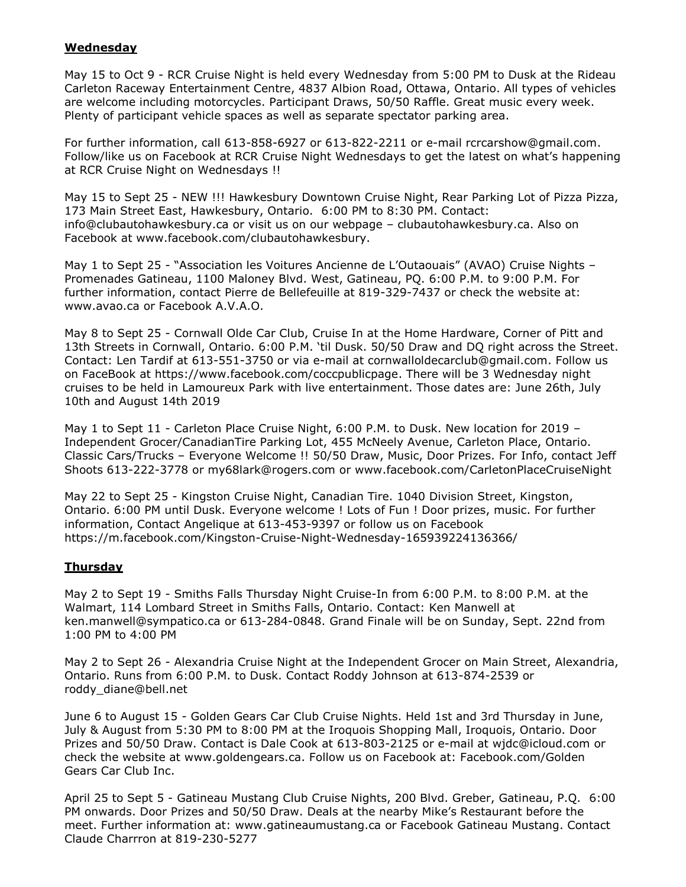#### **Wednesday**

May 15 to Oct 9 - RCR Cruise Night is held every Wednesday from 5:00 PM to Dusk at the Rideau Carleton Raceway Entertainment Centre, 4837 Albion Road, Ottawa, Ontario. All types of vehicles are welcome including motorcycles. Participant Draws, 50/50 Raffle. Great music every week. Plenty of participant vehicle spaces as well as separate spectator parking area.

For further information, call 613-858-6927 or 613-822-2211 or e-mail [rcrcarshow@gmail.com.](mailto:rcrcarshow@gmail.com) Follow/like us on Facebook at RCR Cruise Night Wednesdays to get the latest on what's happening at RCR Cruise Night on Wednesdays !!

May 15 to Sept 25 - NEW !!! Hawkesbury Downtown Cruise Night, Rear Parking Lot of Pizza Pizza, 173 Main Street East, Hawkesbury, Ontario. 6:00 PM to 8:30 PM. Contact: [info@clubautohawkesbury.ca](mailto:info@clubautohawkesbury.ca) or visit us on our webpage – clubautohawkesbury.ca. Also on Facebook at www.facebook.com/clubautohawkesbury.

May 1 to Sept 25 - "Association les Voitures Ancienne de L'Outaouais" (AVAO) Cruise Nights -Promenades Gatineau, 1100 Maloney Blvd. West, Gatineau, PQ. 6:00 P.M. to 9:00 P.M. For further information, contact Pierre de Bellefeuille at 819-329-7437 or check the website at: [www.avao.ca](http://www.avao.ca/) or Facebook A.V.A.O.

May 8 to Sept 25 - Cornwall Olde Car Club, Cruise In at the Home Hardware, Corner of Pitt and 13th Streets in Cornwall, Ontario. 6:00 P.M. "til Dusk. 50/50 Draw and DQ right across the Street. Contact: Len Tardif at 613-551-3750 or via e-mail at [cornwalloldecarclub@gmail.com.](mailto:cornwalloldecarclub@gmail.com) Follow us on FaceBook at [https://www.facebook.com/coccpublicpage.](https://www.facebook.com/coccpublicpage) There will be 3 Wednesday night cruises to be held in Lamoureux Park with live entertainment. Those dates are: June 26th, July 10th and August 14th 2019

May 1 to Sept 11 - Carleton Place Cruise Night, 6:00 P.M. to Dusk. New location for 2019 – Independent Grocer/CanadianTire Parking Lot, 455 McNeely Avenue, Carleton Place, Ontario. Classic Cars/Trucks – Everyone Welcome !! 50/50 Draw, Music, Door Prizes. For Info, contact Jeff Shoots 613-222-3778 or [my68lark@rogers.com](mailto:my68lark@rogers.com) or www.facebook.com/CarletonPlaceCruiseNight

May 22 to Sept 25 - Kingston Cruise Night, Canadian Tire. 1040 Division Street, Kingston, Ontario. 6:00 PM until Dusk. Everyone welcome ! Lots of Fun ! Door prizes, music. For further information, Contact Angelique at 613-453-9397 or follow us on Facebook <https://m.facebook.com/Kingston-Cruise-Night-Wednesday-165939224136366/>

## **Thursday**

May 2 to Sept 19 - Smiths Falls Thursday Night Cruise-In from 6:00 P.M. to 8:00 P.M. at the Walmart, 114 Lombard Street in Smiths Falls, Ontario. Contact: Ken Manwell at [ken.manwell@sympatico.ca](mailto:ken.manwell@sympatico.ca) or 613-284-0848. Grand Finale will be on Sunday, Sept. 22nd from 1:00 PM to 4:00 PM

May 2 to Sept 26 - Alexandria Cruise Night at the Independent Grocer on Main Street, Alexandria, Ontario. Runs from 6:00 P.M. to Dusk. Contact Roddy Johnson at 613-874-2539 or [roddy\\_diane@bell.net](mailto:roddy_diane@bell.net)

June 6 to August 15 - Golden Gears Car Club Cruise Nights. Held 1st and 3rd Thursday in June, July & August from 5:30 PM to 8:00 PM at the Iroquois Shopping Mall, Iroquois, Ontario. Door Prizes and 50/50 Draw. Contact is Dale Cook at 613-803-2125 or e-mail at [wjdc@icloud.com](mailto:wjdc@icloud.com) or check the website at [www.goldengears.ca.](http://www.goldengears.ca/) Follow us on Facebook at: Facebook.com/Golden Gears Car Club Inc.

April 25 to Sept 5 - Gatineau Mustang Club Cruise Nights, 200 Blvd. Greber, Gatineau, P.Q. 6:00 PM onwards. Door Prizes and 50/50 Draw. Deals at the nearby Mike"s Restaurant before the meet. Further information at: [www.gatineaumustang.ca](http://www.gatineaumustang.ca/) or Facebook Gatineau Mustang. Contact Claude Charrron at 819-230-5277